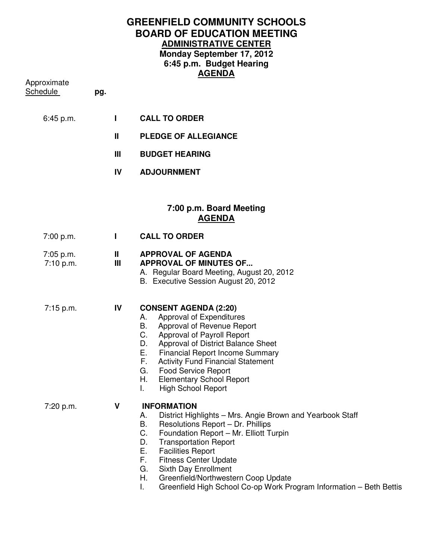## **GREENFIELD COMMUNITY SCHOOLS BOARD OF EDUCATION MEETING ADMINISTRATIVE CENTER Monday September 17, 2012 6:45 p.m. Budget Hearing AGENDA**

Approximate

Schedule **pg.** 

- 6:45 p.m. **I CALL TO ORDER** 
	- **II PLEDGE OF ALLEGIANCE**
	- **III BUDGET HEARING**
	- **IV ADJOURNMENT**

## **7:00 p.m. Board Meeting AGENDA**

| 7:00 p.m.              |                   | <b>CALL TO ORDER</b>                                                                                                                                                                                                                                                                                                                                                                                  |
|------------------------|-------------------|-------------------------------------------------------------------------------------------------------------------------------------------------------------------------------------------------------------------------------------------------------------------------------------------------------------------------------------------------------------------------------------------------------|
| 7:05 p.m.<br>7:10 p.m. | $\mathbf{I}$<br>Ш | <b>APPROVAL OF AGENDA</b><br><b>APPROVAL OF MINUTES OF</b><br>A. Regular Board Meeting, August 20, 2012<br>B. Executive Session August 20, 2012                                                                                                                                                                                                                                                       |
| 7:15 p.m.              | IV                | <b>CONSENT AGENDA (2:20)</b><br>Approval of Expenditures<br>А.<br>В.<br>Approval of Revenue Report<br>C.<br>Approval of Payroll Report<br>D.<br>Approval of District Balance Sheet<br>E.,<br><b>Financial Report Income Summary</b><br>F.<br><b>Activity Fund Financial Statement</b><br>G.<br><b>Food Service Report</b><br>Н.<br><b>Elementary School Report</b><br><b>High School Report</b><br>L. |
| 7:20 p.m.              | ٧                 | <b>INFORMATION</b><br>District Highlights - Mrs. Angie Brown and Yearbook Staff<br>А.<br>В.<br>Resolutions Report - Dr. Phillips<br>C.<br>Foundation Report - Mr. Elliott Turpin<br><b>Transportation Report</b><br>D.<br>Е.<br><b>Facilities Report</b><br>F.<br><b>Fitness Center Update</b><br>Sixth Day Enrollment<br>G.<br>Н.<br>Greenfield/Northwestern Coop Update                             |

I. Greenfield High School Co-op Work Program Information – Beth Bettis